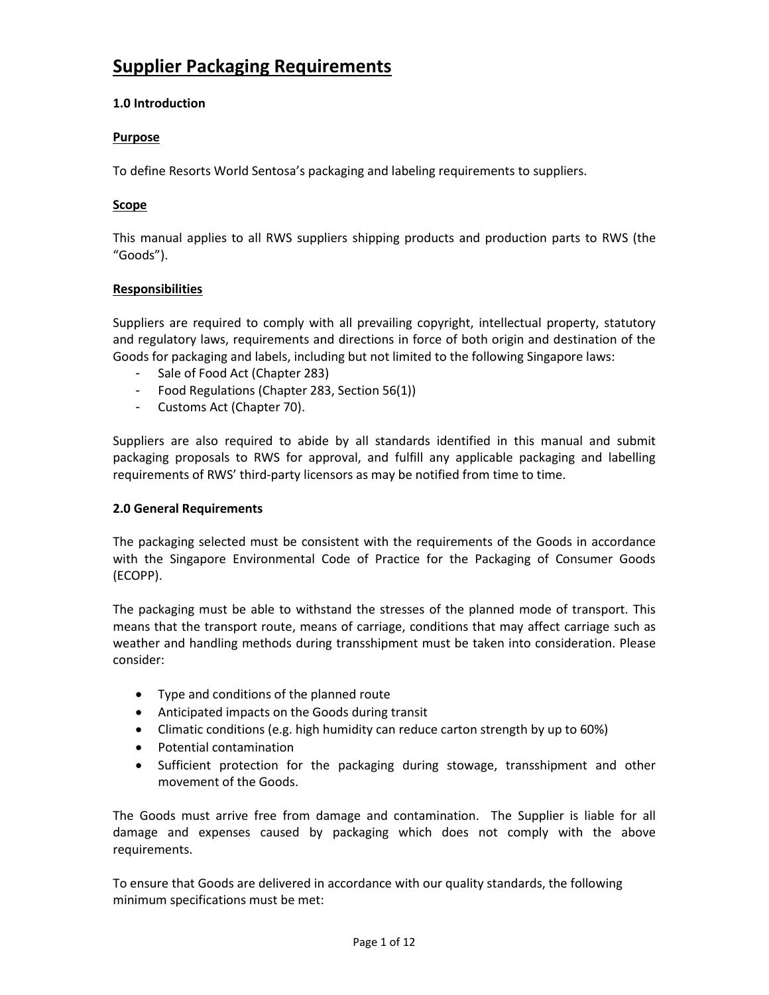# **Supplier Packaging Requirements**

# **1.0 Introduction**

# **Purpose**

To define Resorts World Sentosa's packaging and labeling requirements to suppliers.

# **Scope**

This manual applies to all RWS suppliers shipping products and production parts to RWS (the "Goods").

## **Responsibilities**

Suppliers are required to comply with all prevailing copyright, intellectual property, statutory and regulatory laws, requirements and directions in force of both origin and destination of the Goods for packaging and labels, including but not limited to the following Singapore laws:

- Sale of Food Act (Chapter 283)
- Food Regulations (Chapter 283, Section 56(1))
- Customs Act (Chapter 70).

Suppliers are also required to abide by all standards identified in this manual and submit packaging proposals to RWS for approval, and fulfill any applicable packaging and labelling requirements of RWS' third-party licensors as may be notified from time to time.

## **2.0 General Requirements**

The packaging selected must be consistent with the requirements of the Goods in accordance with the Singapore Environmental Code of Practice for the Packaging of Consumer Goods (ECOPP).

The packaging must be able to withstand the stresses of the planned mode of transport. This means that the transport route, means of carriage, conditions that may affect carriage such as weather and handling methods during transshipment must be taken into consideration. Please consider:

- Type and conditions of the planned route
- Anticipated impacts on the Goods during transit
- Climatic conditions (e.g. high humidity can reduce carton strength by up to 60%)
- Potential contamination
- Sufficient protection for the packaging during stowage, transshipment and other movement of the Goods.

The Goods must arrive free from damage and contamination. The Supplier is liable for all damage and expenses caused by packaging which does not comply with the above requirements.

To ensure that Goods are delivered in accordance with our quality standards, the following minimum specifications must be met: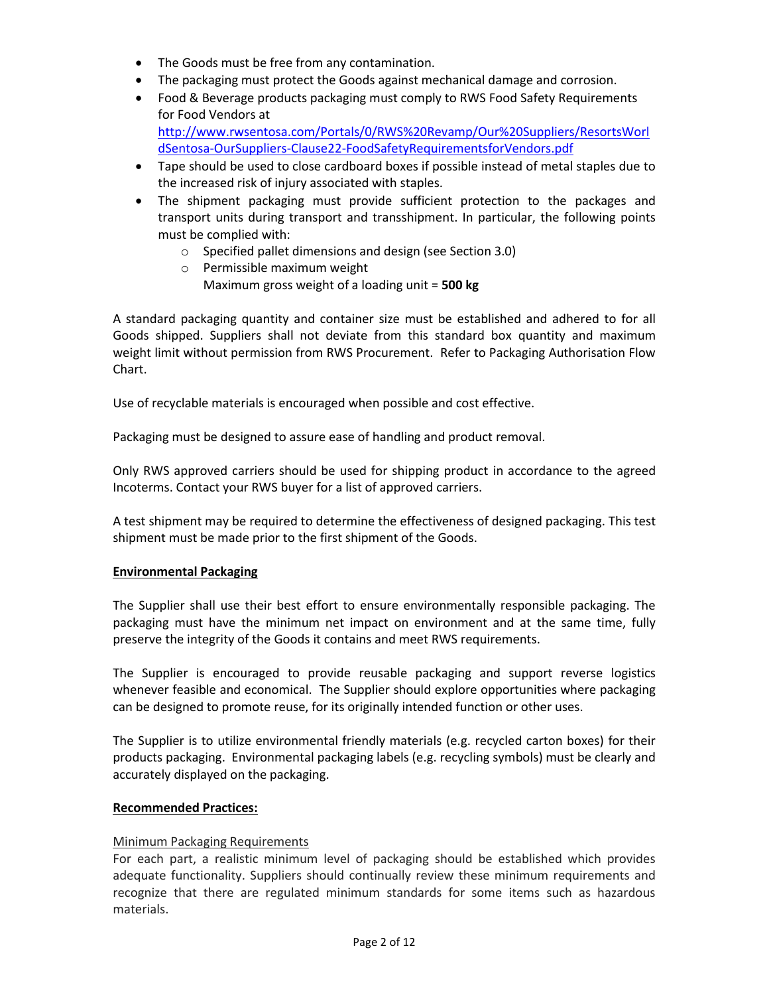- The Goods must be free from any contamination.
- The packaging must protect the Goods against mechanical damage and corrosion.
- Food & Beverage products packaging must comply to RWS Food Safety Requirements for Food Vendors at [http://www.rwsentosa.com/Portals/0/RWS%20Revamp/Our%20Suppliers/ResortsWorl](http://www.rwsentosa.com/Portals/0/RWS%20Revamp/Our%20Suppliers/ResortsWorldSentosa-OurSuppliers-Clause22-FoodSafetyRequirementsforVendors.pdf)
- [dSentosa-OurSuppliers-Clause22-FoodSafetyRequirementsforVendors.pdf](http://www.rwsentosa.com/Portals/0/RWS%20Revamp/Our%20Suppliers/ResortsWorldSentosa-OurSuppliers-Clause22-FoodSafetyRequirementsforVendors.pdf) Tape should be used to close cardboard boxes if possible instead of metal staples due to the increased risk of injury associated with staples.
- The shipment packaging must provide sufficient protection to the packages and transport units during transport and transshipment. In particular, the following points must be complied with:
	- o Specified pallet dimensions and design (see Section 3.0)
	- o Permissible maximum weight
		- Maximum gross weight of a loading unit = **500 kg**

A standard packaging quantity and container size must be established and adhered to for all Goods shipped. Suppliers shall not deviate from this standard box quantity and maximum weight limit without permission from RWS Procurement. Refer to Packaging Authorisation Flow Chart.

Use of recyclable materials is encouraged when possible and cost effective.

Packaging must be designed to assure ease of handling and product removal.

Only RWS approved carriers should be used for shipping product in accordance to the agreed Incoterms. Contact your RWS buyer for a list of approved carriers.

A test shipment may be required to determine the effectiveness of designed packaging. This test shipment must be made prior to the first shipment of the Goods.

# **Environmental Packaging**

The Supplier shall use their best effort to ensure environmentally responsible packaging. The packaging must have the minimum net impact on environment and at the same time, fully preserve the integrity of the Goods it contains and meet RWS requirements.

The Supplier is encouraged to provide reusable packaging and support reverse logistics whenever feasible and economical. The Supplier should explore opportunities where packaging can be designed to promote reuse, for its originally intended function or other uses.

The Supplier is to utilize environmental friendly materials (e.g. recycled carton boxes) for their products packaging. Environmental packaging labels (e.g. recycling symbols) must be clearly and accurately displayed on the packaging.

## **Recommended Practices:**

## Minimum Packaging Requirements

For each part, a realistic minimum level of packaging should be established which provides adequate functionality. Suppliers should continually review these minimum requirements and recognize that there are regulated minimum standards for some items such as hazardous materials.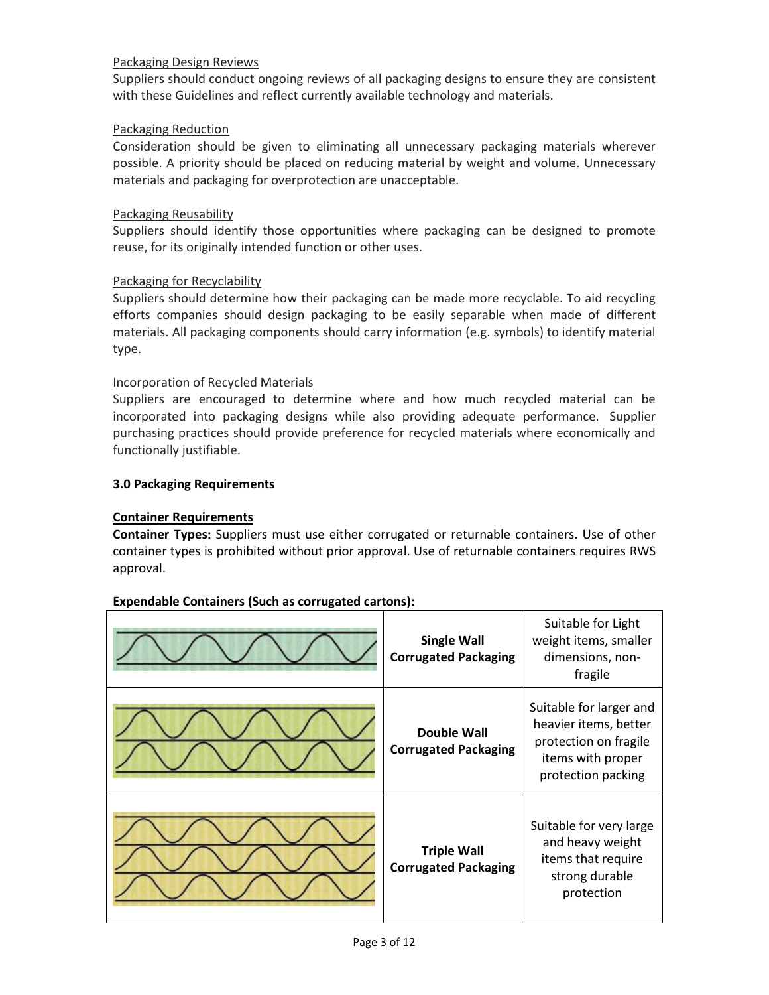# Packaging Design Reviews

Suppliers should conduct ongoing reviews of all packaging designs to ensure they are consistent with these Guidelines and reflect currently available technology and materials.

## Packaging Reduction

Consideration should be given to eliminating all unnecessary packaging materials wherever possible. A priority should be placed on reducing material by weight and volume. Unnecessary materials and packaging for overprotection are unacceptable.

## Packaging Reusability

Suppliers should identify those opportunities where packaging can be designed to promote reuse, for its originally intended function or other uses.

## Packaging for Recyclability

Suppliers should determine how their packaging can be made more recyclable. To aid recycling efforts companies should design packaging to be easily separable when made of different materials. All packaging components should carry information (e.g. symbols) to identify material type.

## Incorporation of Recycled Materials

Suppliers are encouraged to determine where and how much recycled material can be incorporated into packaging designs while also providing adequate performance. Supplier purchasing practices should provide preference for recycled materials where economically and functionally justifiable.

## **3.0 Packaging Requirements**

## **Container Requirements**

**Container Types:** Suppliers must use either corrugated or returnable containers. Use of other container types is prohibited without prior approval. Use of returnable containers requires RWS approval.



## **Expendable Containers (Such as corrugated cartons):**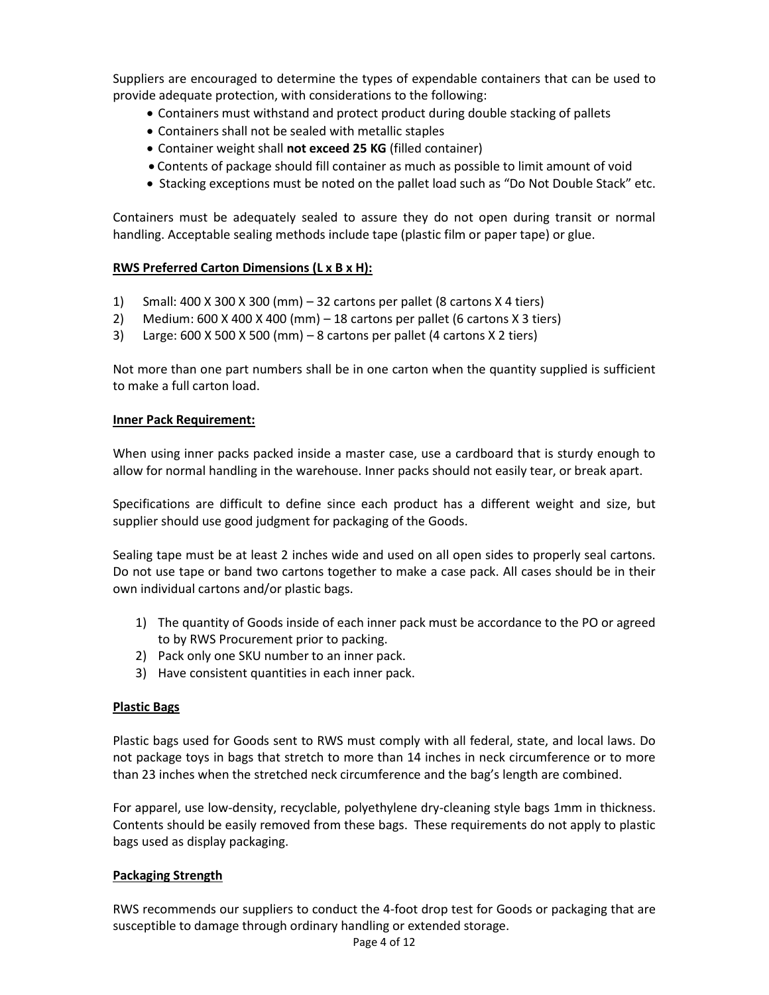Suppliers are encouraged to determine the types of expendable containers that can be used to provide adequate protection, with considerations to the following:

- Containers must withstand and protect product during double stacking of pallets
- Containers shall not be sealed with metallic staples
- Container weight shall **not exceed 25 KG** (filled container)
- Contents of package should fill container as much as possible to limit amount of void
- Stacking exceptions must be noted on the pallet load such as "Do Not Double Stack" etc.

Containers must be adequately sealed to assure they do not open during transit or normal handling. Acceptable sealing methods include tape (plastic film or paper tape) or glue.

## **RWS Preferred Carton Dimensions (L x B x H):**

- 1) Small: 400 X 300 X 300 (mm) 32 cartons per pallet (8 cartons X 4 tiers)
- 2) Medium:  $600 \times 400 \times 400$  (mm)  $-18$  cartons per pallet (6 cartons  $\times 3$  tiers)
- 3) Large: 600 X 500 X 500 (mm) 8 cartons per pallet (4 cartons X 2 tiers)

Not more than one part numbers shall be in one carton when the quantity supplied is sufficient to make a full carton load.

#### **Inner Pack Requirement:**

When using inner packs packed inside a master case, use a cardboard that is sturdy enough to allow for normal handling in the warehouse. Inner packs should not easily tear, or break apart.

Specifications are difficult to define since each product has a different weight and size, but supplier should use good judgment for packaging of the Goods.

Sealing tape must be at least 2 inches wide and used on all open sides to properly seal cartons. Do not use tape or band two cartons together to make a case pack. All cases should be in their own individual cartons and/or plastic bags.

- 1) The quantity of Goods inside of each inner pack must be accordance to the PO or agreed to by RWS Procurement prior to packing.
- 2) Pack only one SKU number to an inner pack.
- 3) Have consistent quantities in each inner pack.

#### **Plastic Bags**

Plastic bags used for Goods sent to RWS must comply with all federal, state, and local laws. Do not package toys in bags that stretch to more than 14 inches in neck circumference or to more than 23 inches when the stretched neck circumference and the bag's length are combined.

For apparel, use low-density, recyclable, polyethylene dry-cleaning style bags 1mm in thickness. Contents should be easily removed from these bags. These requirements do not apply to plastic bags used as display packaging.

#### **Packaging Strength**

RWS recommends our suppliers to conduct the 4-foot drop test for Goods or packaging that are susceptible to damage through ordinary handling or extended storage.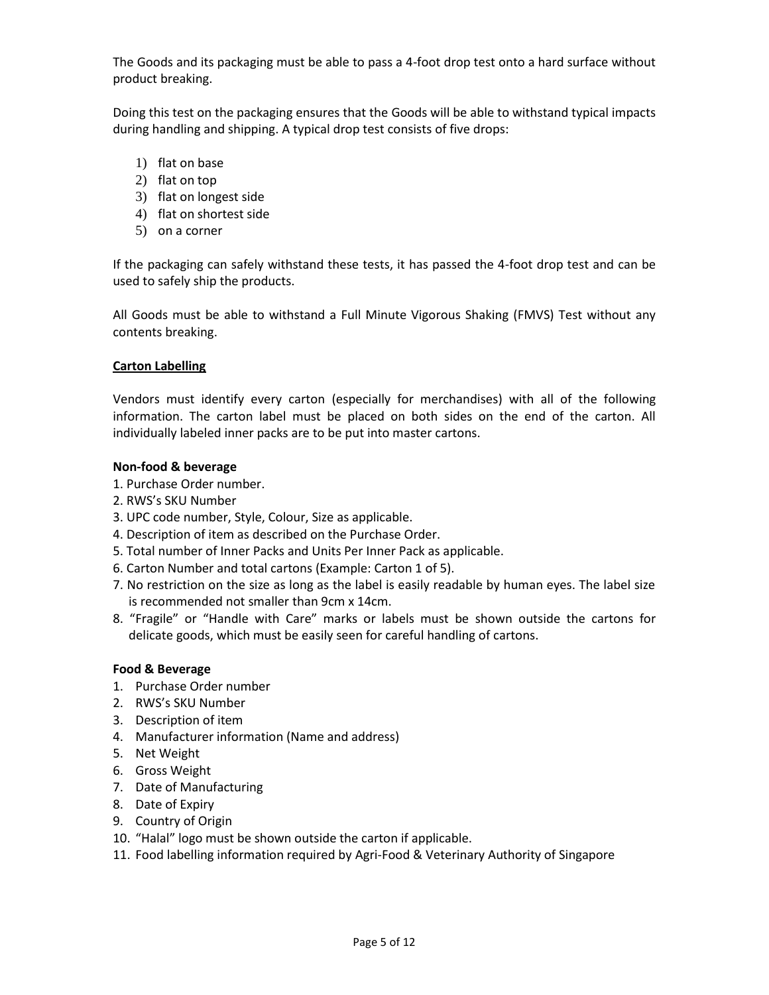The Goods and its packaging must be able to pass a 4-foot drop test onto a hard surface without product breaking.

Doing this test on the packaging ensures that the Goods will be able to withstand typical impacts during handling and shipping. A typical drop test consists of five drops:

- 1) flat on base
- 2) flat on top
- 3) flat on longest side
- 4) flat on shortest side
- 5) on a corner

If the packaging can safely withstand these tests, it has passed the 4-foot drop test and can be used to safely ship the products.

All Goods must be able to withstand a Full Minute Vigorous Shaking (FMVS) Test without any contents breaking.

## **Carton Labelling**

Vendors must identify every carton (especially for merchandises) with all of the following information. The carton label must be placed on both sides on the end of the carton. All individually labeled inner packs are to be put into master cartons.

## **Non-food & beverage**

- 1. Purchase Order number.
- 2. RWS's SKU Number
- 3. UPC code number, Style, Colour, Size as applicable.
- 4. Description of item as described on the Purchase Order.
- 5. Total number of Inner Packs and Units Per Inner Pack as applicable.
- 6. Carton Number and total cartons (Example: Carton 1 of 5).
- 7. No restriction on the size as long as the label is easily readable by human eyes. The label size is recommended not smaller than 9cm x 14cm.
- 8. "Fragile" or "Handle with Care" marks or labels must be shown outside the cartons for delicate goods, which must be easily seen for careful handling of cartons.

## **Food & Beverage**

- 1. Purchase Order number
- 2. RWS's SKU Number
- 3. Description of item
- 4. Manufacturer information (Name and address)
- 5. Net Weight
- 6. Gross Weight
- 7. Date of Manufacturing
- 8. Date of Expiry
- 9. Country of Origin
- 10. "Halal" logo must be shown outside the carton if applicable.
- 11. Food labelling information required by Agri-Food & Veterinary Authority of Singapore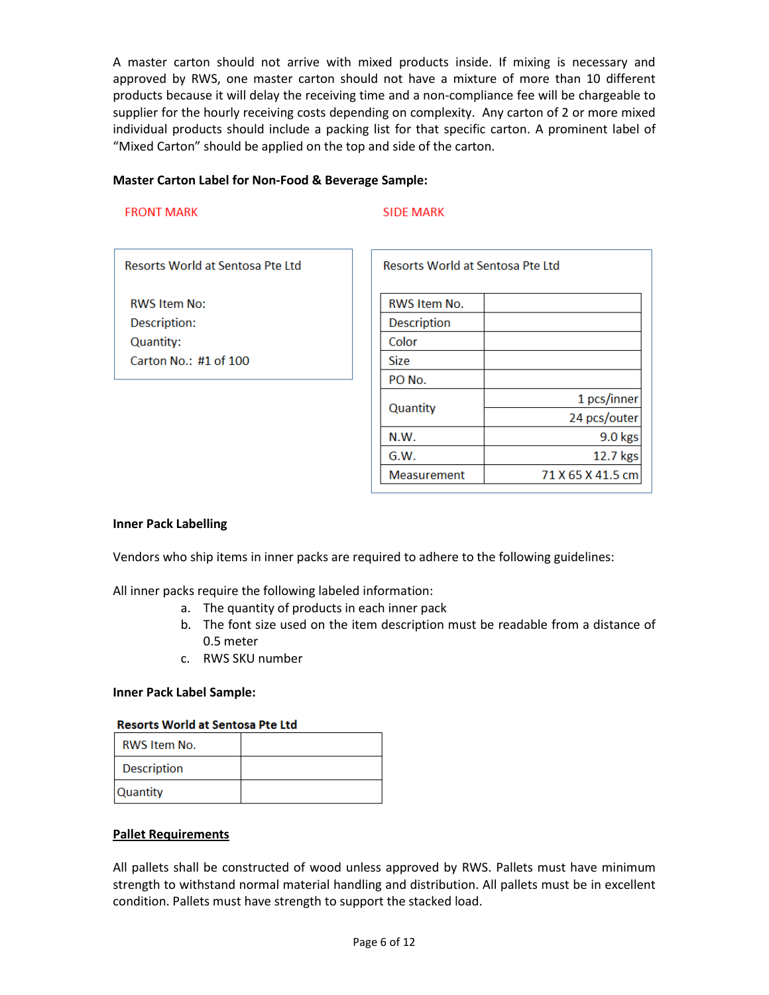A master carton should not arrive with mixed products inside. If mixing is necessary and approved by RWS, one master carton should not have a mixture of more than 10 different products because it will delay the receiving time and a non-compliance fee will be chargeable to supplier for the hourly receiving costs depending on complexity. Any carton of 2 or more mixed individual products should include a packing list for that specific carton. A prominent label of "Mixed Carton" should be applied on the top and side of the carton.

## **Master Carton Label for Non-Food & Beverage Sample:**

#### **FRONT MARK**

#### **SIDE MARK**

Resorts World at Sentosa Pte Ltd

**RWS Item No:** Description: Quantity: Carton No.: #1 of 100

| <b>Resorts World at Sentosa Pte Ltd</b> |                   |  |
|-----------------------------------------|-------------------|--|
| RWS Item No.                            |                   |  |
| Description                             |                   |  |
| Color                                   |                   |  |
| <b>Size</b>                             |                   |  |
| PO No.                                  |                   |  |
| Quantity                                | 1 pcs/inner       |  |
|                                         | 24 pcs/outer      |  |
| N.W.                                    | 9.0 kgs           |  |
| G.W.                                    | 12.7 kgs          |  |
| <b>Measurement</b>                      | 71 X 65 X 41.5 cm |  |

#### **Inner Pack Labelling**

Vendors who ship items in inner packs are required to adhere to the following guidelines:

All inner packs require the following labeled information:

- a. The quantity of products in each inner pack
- b. The font size used on the item description must be readable from a distance of 0.5 meter
- c. RWS SKU number

#### **Inner Pack Label Sample:**

#### **Resorts World at Sentosa Pte Ltd**

| <b>RWS Item No.</b> |  |
|---------------------|--|
| <b>Description</b>  |  |
| Quantity            |  |

#### **Pallet Requirements**

All pallets shall be constructed of wood unless approved by RWS. Pallets must have minimum strength to withstand normal material handling and distribution. All pallets must be in excellent condition. Pallets must have strength to support the stacked load.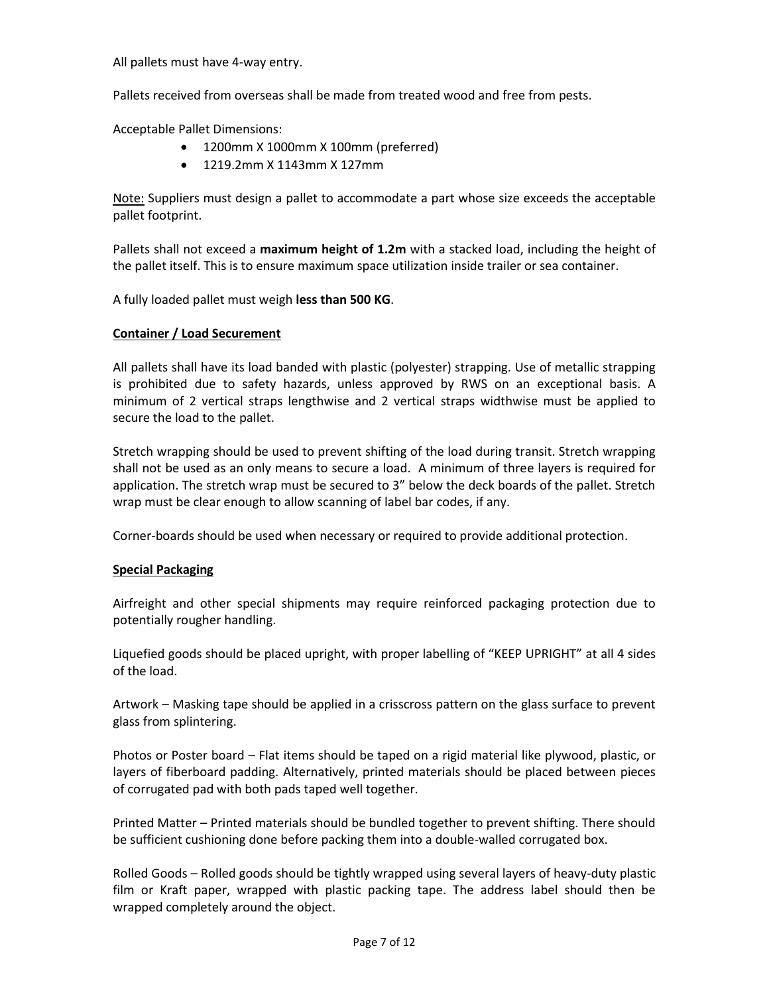All pallets must have 4-way entry.

Pallets received from overseas shall be made from treated wood and free from pests.

Acceptable Pallet Dimensions:

- 1200mm X 1000mm X 100mm (preferred)
- 1219.2mm X 1143mm X 127mm

Note: Suppliers must design a pallet to accommodate a part whose size exceeds the acceptable pallet footprint.

Pallets shall not exceed a **maximum height of 1.2m** with a stacked load, including the height of the pallet itself. This is to ensure maximum space utilization inside trailer or sea container.

A fully loaded pallet must weigh **less than 500 KG**.

## **Container / Load Securement**

All pallets shall have its load banded with plastic (polyester) strapping. Use of metallic strapping is prohibited due to safety hazards, unless approved by RWS on an exceptional basis. A minimum of 2 vertical straps lengthwise and 2 vertical straps widthwise must be applied to secure the load to the pallet.

Stretch wrapping should be used to prevent shifting of the load during transit. Stretch wrapping shall not be used as an only means to secure a load. A minimum of three layers is required for application. The stretch wrap must be secured to 3" below the deck boards of the pallet. Stretch wrap must be clear enough to allow scanning of label bar codes, if any.

Corner-boards should be used when necessary or required to provide additional protection.

#### **Special Packaging**

Airfreight and other special shipments may require reinforced packaging protection due to potentially rougher handling.

Liquefied goods should be placed upright, with proper labelling of "KEEP UPRIGHT" at all 4 sides of the load.

Artwork – Masking tape should be applied in a crisscross pattern on the glass surface to prevent glass from splintering.

Photos or Poster board – Flat items should be taped on a rigid material like plywood, plastic, or layers of fiberboard padding. Alternatively, printed materials should be placed between pieces of corrugated pad with both pads taped well together.

Printed Matter – Printed materials should be bundled together to prevent shifting. There should be sufficient cushioning done before packing them into a double-walled corrugated box.

Rolled Goods – Rolled goods should be tightly wrapped using several layers of heavy-duty plastic film or Kraft paper, wrapped with plastic packing tape. The address label should then be wrapped completely around the object.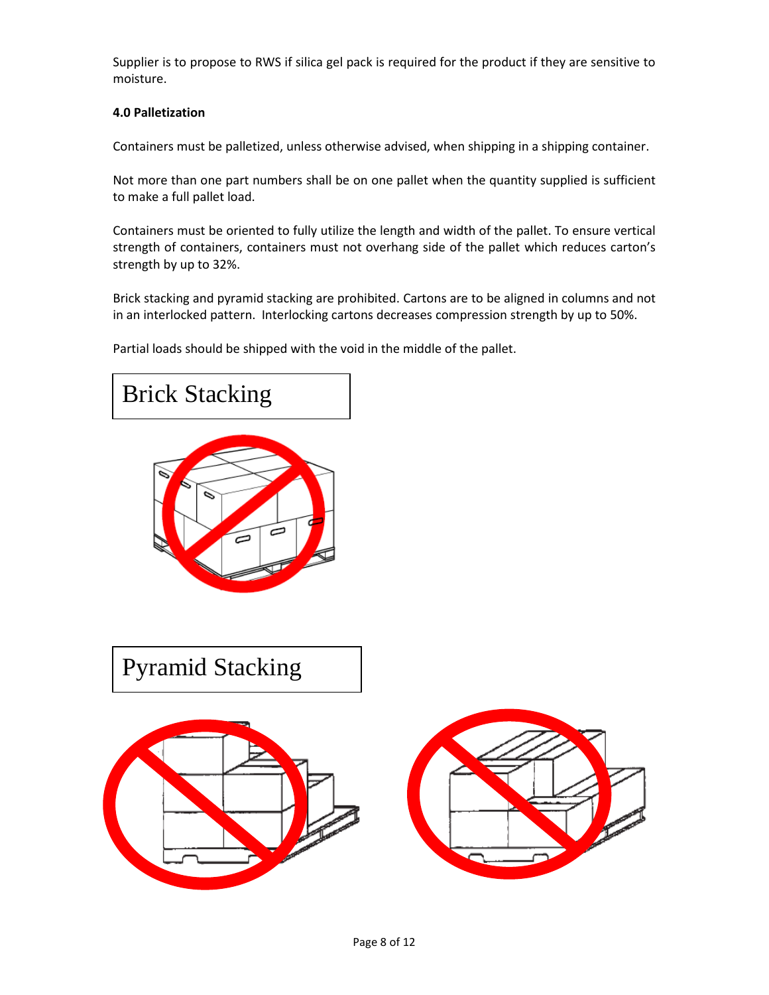Supplier is to propose to RWS if silica gel pack is required for the product if they are sensitive to moisture.

# **4.0 Palletization**

Containers must be palletized, unless otherwise advised, when shipping in a shipping container.

Not more than one part numbers shall be on one pallet when the quantity supplied is sufficient to make a full pallet load.

Containers must be oriented to fully utilize the length and width of the pallet. To ensure vertical strength of containers, containers must not overhang side of the pallet which reduces carton's strength by up to 32%.

Brick stacking and pyramid stacking are prohibited. Cartons are to be aligned in columns and not in an interlocked pattern. Interlocking cartons decreases compression strength by up to 50%.

Partial loads should be shipped with the void in the middle of the pallet.





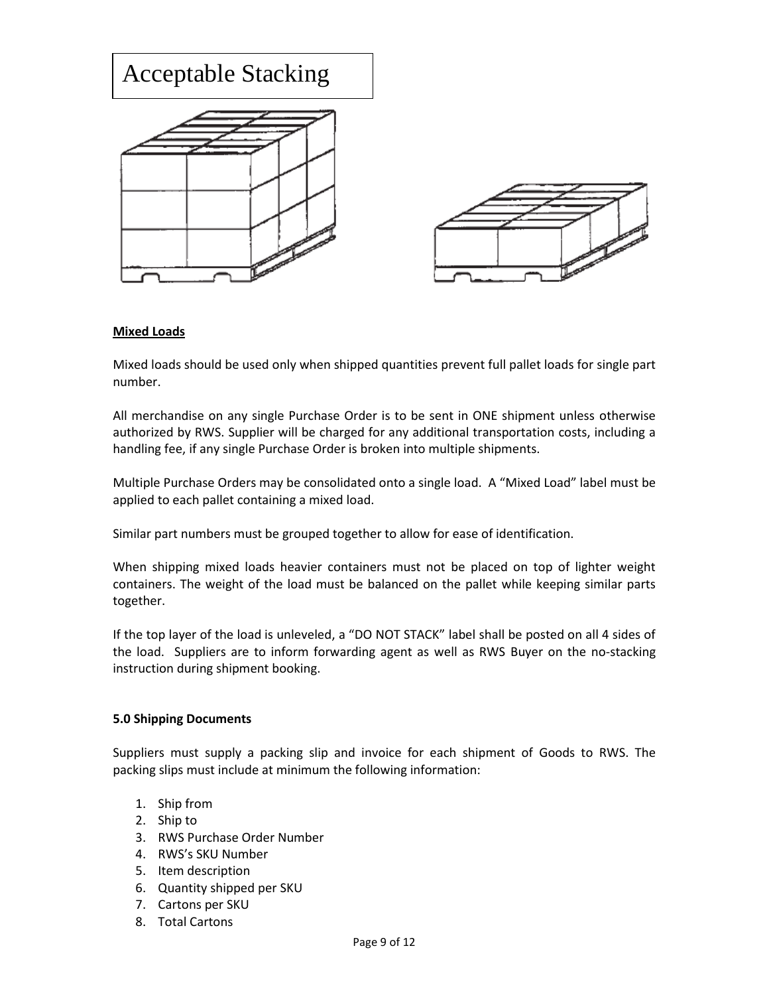

## **Mixed Loads**

Mixed loads should be used only when shipped quantities prevent full pallet loads for single part number.

All merchandise on any single Purchase Order is to be sent in ONE shipment unless otherwise authorized by RWS. Supplier will be charged for any additional transportation costs, including a handling fee, if any single Purchase Order is broken into multiple shipments.

Multiple Purchase Orders may be consolidated onto a single load. A "Mixed Load" label must be applied to each pallet containing a mixed load.

Similar part numbers must be grouped together to allow for ease of identification.

When shipping mixed loads heavier containers must not be placed on top of lighter weight containers. The weight of the load must be balanced on the pallet while keeping similar parts together.

If the top layer of the load is unleveled, a "DO NOT STACK" label shall be posted on all 4 sides of the load. Suppliers are to inform forwarding agent as well as RWS Buyer on the no-stacking instruction during shipment booking.

#### **5.0 Shipping Documents**

Suppliers must supply a packing slip and invoice for each shipment of Goods to RWS. The packing slips must include at minimum the following information:

- 1. Ship from
- 2. Ship to
- 3. RWS Purchase Order Number
- 4. RWS's SKU Number
- 5. Item description
- 6. Quantity shipped per SKU
- 7. Cartons per SKU
- 8. Total Cartons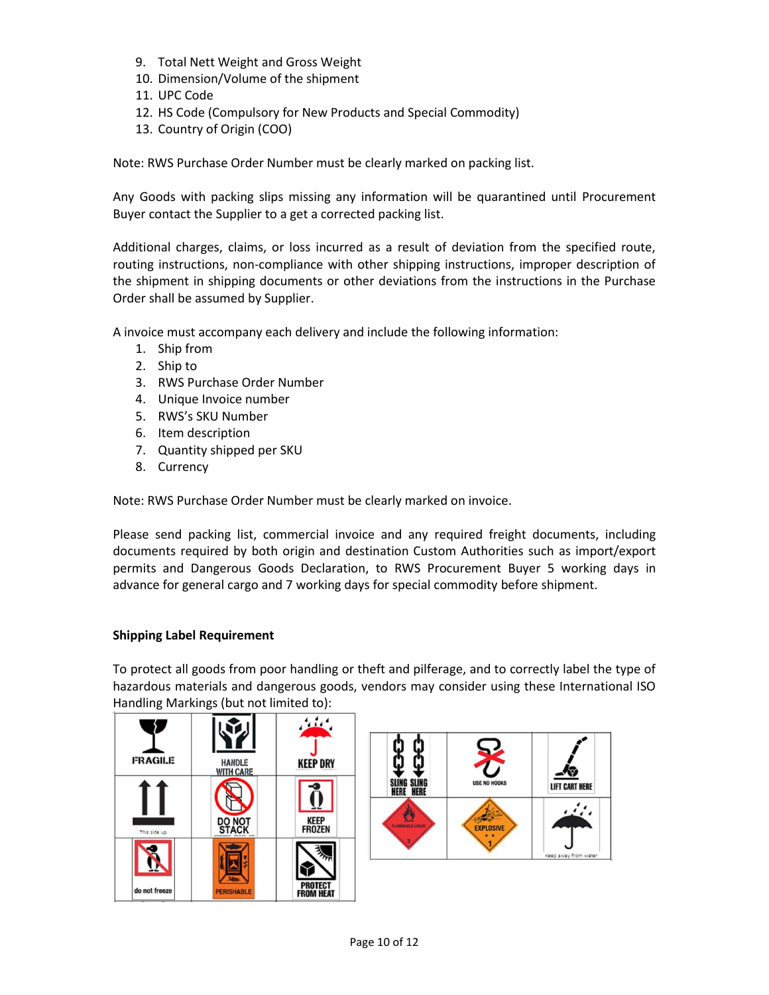- 9. Total Nett Weight and Gross Weight
- 10. Dimension/Volume of the shipment
- 11. UPC Code
- 12. HS Code (Compulsory for New Products and Special Commodity)
- 13. Country of Origin (COO)

Note: RWS Purchase Order Number must be clearly marked on packing list.

Any Goods with packing slips missing any information will be quarantined until Procurement Buyer contact the Supplier to a get a corrected packing list.

Additional charges, claims, or loss incurred as a result of deviation from the specified route, routing instructions, non-compliance with other shipping instructions, improper description of the shipment in shipping documents or other deviations from the instructions in the Purchase Order shall be assumed by Supplier.

A invoice must accompany each delivery and include the following information:

- 1. Ship from
- 2. Ship to
- 3. RWS Purchase Order Number
- 4. Unique Invoice number
- 5. RWS's SKU Number
- 6. Item description
- 7. Quantity shipped per SKU
- 8. Currency

Note: RWS Purchase Order Number must be clearly marked on invoice.

Please send packing list, commercial invoice and any required freight documents, including documents required by both origin and destination Custom Authorities such as import/export permits and Dangerous Goods Declaration, to RWS Procurement Buyer 5 working days in advance for general cargo and 7 working days for special commodity before shipment.

# **Shipping Label Requirement**

To protect all goods from poor handling or theft and pilferage, and to correctly label the type of hazardous materials and dangerous goods, vendors may consider using these International ISO Handling Markings (but not limited to):

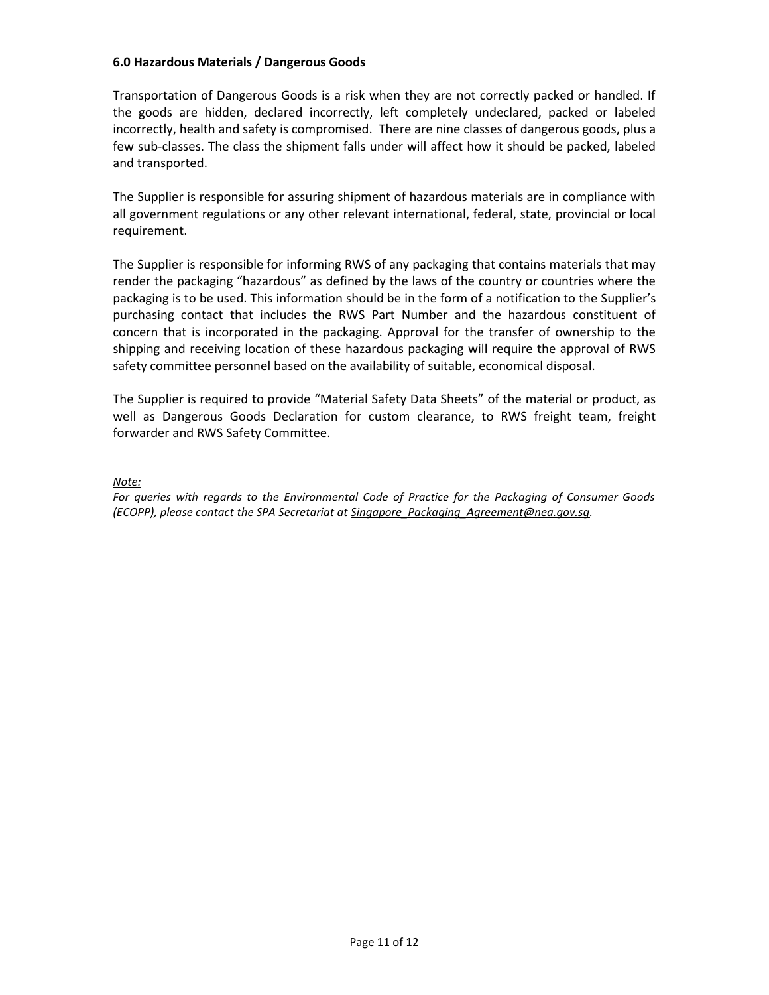## **6.0 Hazardous Materials / Dangerous Goods**

Transportation of Dangerous Goods is a risk when they are not correctly packed or handled. If the goods are hidden, declared incorrectly, left completely undeclared, packed or labeled incorrectly, health and safety is compromised. There are nine classes of dangerous goods, plus a few sub-classes. The class the shipment falls under will affect how it should be packed, labeled and transported.

The Supplier is responsible for assuring shipment of hazardous materials are in compliance with all government regulations or any other relevant international, federal, state, provincial or local requirement.

The Supplier is responsible for informing RWS of any packaging that contains materials that may render the packaging "hazardous" as defined by the laws of the country or countries where the packaging is to be used. This information should be in the form of a notification to the Supplier's purchasing contact that includes the RWS Part Number and the hazardous constituent of concern that is incorporated in the packaging. Approval for the transfer of ownership to the shipping and receiving location of these hazardous packaging will require the approval of RWS safety committee personnel based on the availability of suitable, economical disposal.

The Supplier is required to provide "Material Safety Data Sheets" of the material or product, as well as Dangerous Goods Declaration for custom clearance, to RWS freight team, freight forwarder and RWS Safety Committee.

*Note:* 

*For queries with regards to the Environmental Code of Practice for the Packaging of Consumer Goods (ECOPP), please contact the SPA Secretariat a[t Singapore\\_Packaging\\_Agreement@nea.gov.sg.](mailto:Singapore_Packaging_Agreement@nea.gov.sg)*